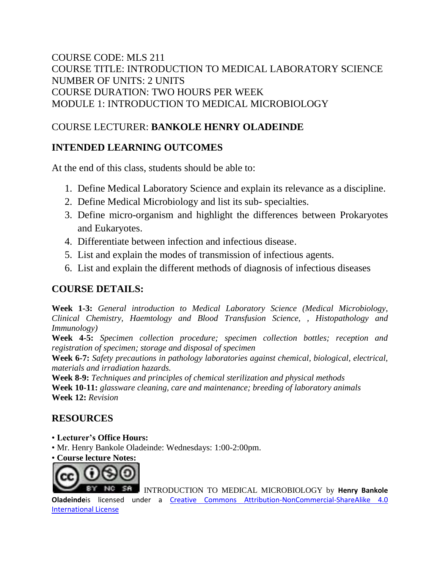### COURSE CODE: MLS 211 COURSE TITLE: INTRODUCTION TO MEDICAL LABORATORY SCIENCE NUMBER OF UNITS: 2 UNITS COURSE DURATION: TWO HOURS PER WEEK MODULE 1: INTRODUCTION TO MEDICAL MICROBIOLOGY

## COURSE LECTURER: **BANKOLE HENRY OLADEINDE**

## **INTENDED LEARNING OUTCOMES**

At the end of this class, students should be able to:

- 1. Define Medical Laboratory Science and explain its relevance as a discipline.
- 2. Define Medical Microbiology and list its sub- specialties.
- 3. Define micro-organism and highlight the differences between Prokaryotes and Eukaryotes.
- 4. Differentiate between infection and infectious disease.
- 5. List and explain the modes of transmission of infectious agents.
- 6. List and explain the different methods of diagnosis of infectious diseases

### **COURSE DETAILS:**

**Week 1-3:** *General introduction to Medical Laboratory Science (Medical Microbiology, Clinical Chemistry, Haemtology and Blood Transfusion Science, , Histopathology and Immunology)*

**Week 4-5:** *Specimen collection procedure; specimen collection bottles; reception and registration of specimen; storage and disposal of specimen*

**Week 6-7:** *Safety precautions in pathology laboratories against chemical, biological, electrical, materials and irradiation hazards.*

**Week 8-9:** *Techniques and principles of chemical sterilization and physical methods*

**Week 10-11:** *glassware cleaning, care and maintenance; breeding of laboratory animals* **Week 12:** *Revision*

### **RESOURCES**

- **Lecturer's Office Hours:**
- Mr. Henry Bankole Oladeinde: Wednesdays: 1:00-2:00pm.
- **Course lecture Notes:**



INTRODUCTION TO MEDICAL MICROBIOLOGY by **Henry Bankole** 

**Oladeinde**is licensed under a [Creative Commons Attribution-NonCommercial-ShareAlike](http://creativecommons.org/licenses/by-nc-sa/4.0/) [4.0](http://creativecommons.org/licenses/by-nc-sa/4.0/)  [International License](http://creativecommons.org/licenses/by-nc-sa/4.0/)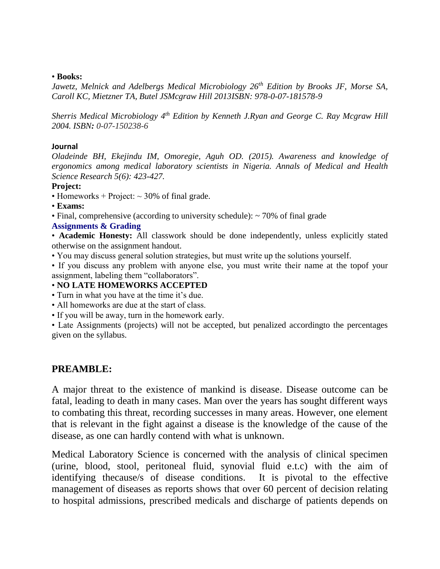#### • **Books:**

*Jawetz, Melnick and Adelbergs Medical Microbiology 26th Edition by Brooks JF, Morse SA, Caroll KC, Mietzner TA, Butel JSMcgraw Hill 2013ISBN: 978-0-07-181578-9*

*Sherris Medical Microbiology 4th Edition by Kenneth J.Ryan and George C. Ray Mcgraw Hill 2004. ISBN: 0-07-150238-6*

#### **Journal**

*Oladeinde BH, Ekejindu IM, Omoregie, Aguh OD. (2015). Awareness and knowledge of ergonomics among medical laboratory scientists in Nigeria. Annals of Medical and Health Science Research 5(6): 423-427.*

#### **Project:**

- Homeworks + Project:  $\sim$  30% of final grade.
- **Exams:**
- Final, comprehensive (according to university schedule): ~ 70% of final grade

#### **Assignments & Grading**

• **Academic Honesty:** All classwork should be done independently, unless explicitly stated otherwise on the assignment handout.

- You may discuss general solution strategies, but must write up the solutions yourself.
- If you discuss any problem with anyone else, you must write their name at the topof your assignment, labeling them "collaborators".

### • **NO LATE HOMEWORKS ACCEPTED**

- Turn in what you have at the time it's due.
- All homeworks are due at the start of class.
- If you will be away, turn in the homework early.

• Late Assignments (projects) will not be accepted, but penalized accordingto the percentages given on the syllabus.

### **PREAMBLE:**

A major threat to the existence of mankind is disease. Disease outcome can be fatal, leading to death in many cases. Man over the years has sought different ways to combating this threat, recording successes in many areas. However, one element that is relevant in the fight against a disease is the knowledge of the cause of the disease, as one can hardly contend with what is unknown.

Medical Laboratory Science is concerned with the analysis of clinical specimen (urine, blood, stool, peritoneal fluid, synovial fluid e.t.c) with the aim of identifying thecause/s of disease conditions. It is pivotal to the effective management of diseases as reports shows that over 60 percent of decision relating to hospital admissions, prescribed medicals and discharge of patients depends on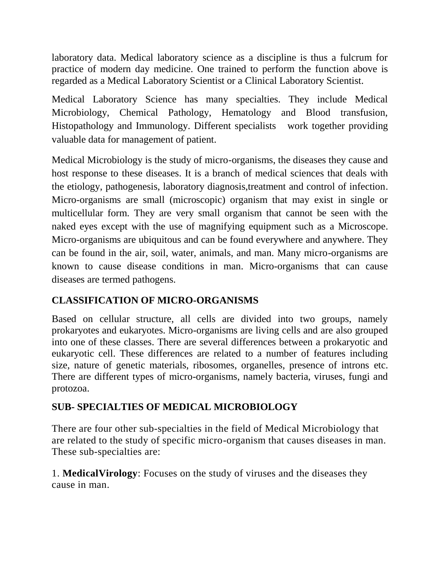laboratory data. Medical laboratory science as a discipline is thus a fulcrum for practice of modern day medicine. One trained to perform the function above is regarded as a Medical Laboratory Scientist or a Clinical Laboratory Scientist.

Medical Laboratory Science has many specialties. They include Medical Microbiology, Chemical Pathology, Hematology and Blood transfusion, Histopathology and Immunology. Different specialists work together providing valuable data for management of patient.

Medical Microbiology is the study of micro-organisms, the diseases they cause and host response to these diseases. It is a branch of medical sciences that deals with the etiology, pathogenesis, laboratory diagnosis,treatment and control of infection. Micro-organisms are small (microscopic) organism that may exist in single or multicellular form. They are very small organism that cannot be seen with the naked eyes except with the use of magnifying equipment such as a Microscope. Micro-organisms are ubiquitous and can be found everywhere and anywhere. They can be found in the air, soil, water, animals, and man. Many micro-organisms are known to cause disease conditions in man. Micro-organisms that can cause diseases are termed pathogens.

# **CLASSIFICATION OF MICRO-ORGANISMS**

Based on cellular structure, all cells are divided into two groups, namely prokaryotes and eukaryotes. Micro-organisms are living cells and are also grouped into one of these classes. There are several differences between a prokaryotic and eukaryotic cell. These differences are related to a number of features including size, nature of genetic materials, ribosomes, organelles, presence of introns etc. There are different types of micro-organisms, namely bacteria, viruses, fungi and protozoa.

# **SUB- SPECIALTIES OF MEDICAL MICROBIOLOGY**

There are four other sub-specialties in the field of Medical Microbiology that are related to the study of specific micro-organism that causes diseases in man. These sub-specialties are:

1. **MedicalVirology**: Focuses on the study of viruses and the diseases they cause in man.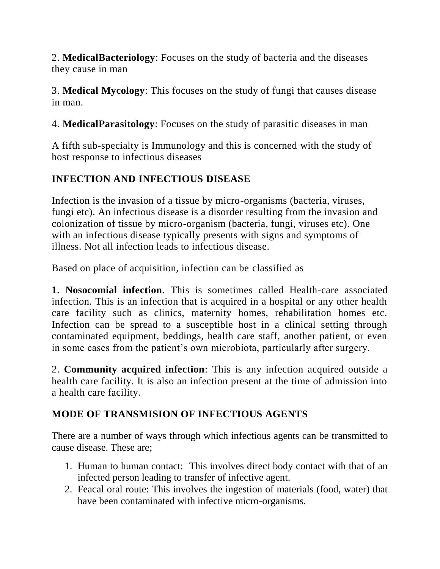2. **MedicalBacteriology**: Focuses on the study of bacteria and the diseases they cause in man

3. **Medical Mycology**: This focuses on the study of fungi that causes disease in man.

4. **MedicalParasitology**: Focuses on the study of parasitic diseases in man

A fifth sub-specialty is Immunology and this is concerned with the study of host response to infectious diseases

## **INFECTION AND INFECTIOUS DISEASE**

Infection is the invasion of a tissue by micro-organisms (bacteria, viruses, fungi etc). An infectious disease is a disorder resulting from the invasion and colonization of tissue by micro-organism (bacteria, fungi, viruses etc). One with an infectious disease typically presents with signs and symptoms of illness. Not all infection leads to infectious disease.

Based on place of acquisition, infection can be classified as

**1. Nosocomial infection.** This is sometimes called Health-care associated infection. This is an infection that is acquired in a hospital or any other health care facility such as clinics, maternity homes, rehabilitation homes etc. Infection can be spread to a susceptible host in a clinical setting through contaminated equipment, beddings, health care staff, another patient, or even in some cases from the patient's own microbiota, particularly after surgery.

2. **Community acquired infection**: This is any infection acquired outside a health care facility. It is also an infection present at the time of admission into a health care facility.

# **MODE OF TRANSMISION OF INFECTIOUS AGENTS**

There are a number of ways through which infectious agents can be transmitted to cause disease. These are;

- 1. Human to human contact: This involves direct body contact with that of an infected person leading to transfer of infective agent.
- 2. Feacal oral route: This involves the ingestion of materials (food, water) that have been contaminated with infective micro-organisms.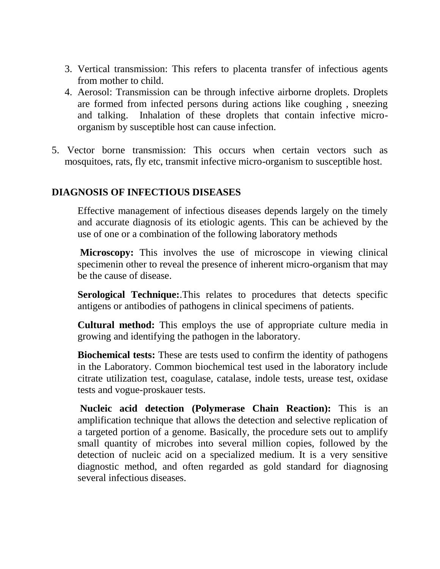- 3. Vertical transmission: This refers to placenta transfer of infectious agents from mother to child.
- 4. Aerosol: Transmission can be through infective airborne droplets. Droplets are formed from infected persons during actions like coughing , sneezing and talking. Inhalation of these droplets that contain infective microorganism by susceptible host can cause infection.
- 5. Vector borne transmission: This occurs when certain vectors such as mosquitoes, rats, fly etc, transmit infective micro-organism to susceptible host.

### **DIAGNOSIS OF INFECTIOUS DISEASES**

Effective management of infectious diseases depends largely on the timely and accurate diagnosis of its etiologic agents. This can be achieved by the use of one or a combination of the following laboratory methods

**Microscopy:** This involves the use of microscope in viewing clinical specimenin other to reveal the presence of inherent micro-organism that may be the cause of disease.

**Serological Technique:**.This relates to procedures that detects specific antigens or antibodies of pathogens in clinical specimens of patients.

**Cultural method:** This employs the use of appropriate culture media in growing and identifying the pathogen in the laboratory.

**Biochemical tests:** These are tests used to confirm the identity of pathogens in the Laboratory. Common biochemical test used in the laboratory include citrate utilization test, coagulase, catalase, indole tests, urease test, oxidase tests and vogue-proskauer tests.

**Nucleic acid detection (Polymerase Chain Reaction):** This is an amplification technique that allows the detection and selective replication of a targeted portion of a genome. Basically, the procedure sets out to amplify small quantity of microbes into several million copies, followed by the detection of nucleic acid on a specialized medium. It is a very sensitive diagnostic method, and often regarded as gold standard for diagnosing several infectious diseases.